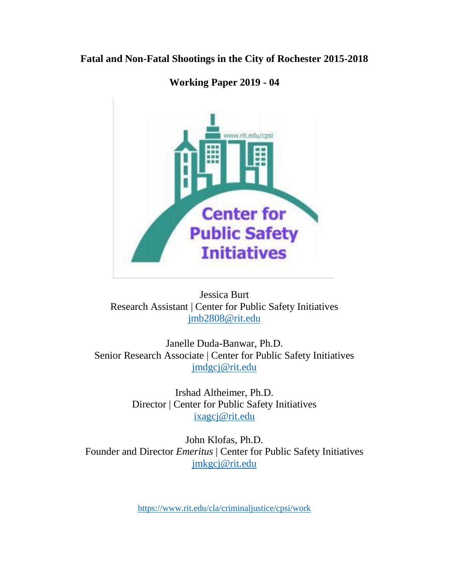## **Fatal and Non-Fatal Shootings in the City of Rochester 2015-2018**



# **Working Paper 2019 - 04**

Jessica Burt Research Assistant | Center for Public Safety Initiatives [jmb2808@rit.edu](mailto:jmb2808@rit.edu)

Janelle Duda-Banwar, Ph.D. Senior Research Associate | Center for Public Safety Initiatives [jmdgcj@rit.edu](mailto:jmdgcj@rit.edu)

> Irshad Altheimer, Ph.D. Director | Center for Public Safety Initiatives [ixagcj@rit.edu](mailto:ixagcj@rit.edu)

John Klofas, Ph.D. Founder and Director *Emeritus* | Center for Public Safety Initiatives [jmkgcj@rit.edu](mailto:jmkgcj@rit.edu)

<https://www.rit.edu/cla/criminaljustice/cpsi/work>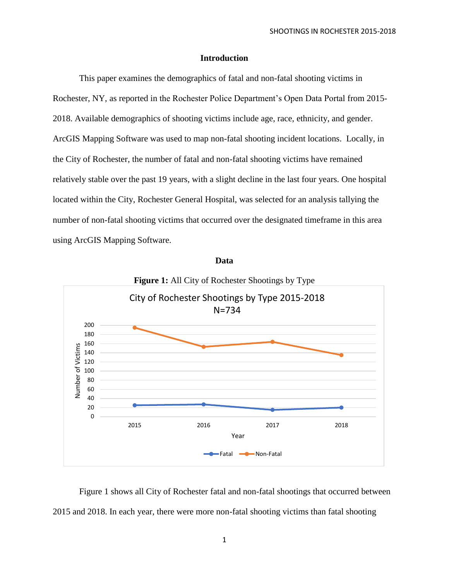### **Introduction**

This paper examines the demographics of fatal and non-fatal shooting victims in Rochester, NY, as reported in the Rochester Police Department's Open Data Portal from 2015- 2018. Available demographics of shooting victims include age, race, ethnicity, and gender. ArcGIS Mapping Software was used to map non-fatal shooting incident locations. Locally, in the City of Rochester, the number of fatal and non-fatal shooting victims have remained relatively stable over the past 19 years, with a slight decline in the last four years. One hospital located within the City, Rochester General Hospital, was selected for an analysis tallying the number of non-fatal shooting victims that occurred over the designated timeframe in this area using ArcGIS Mapping Software.



**Data**

Figure 1 shows all City of Rochester fatal and non-fatal shootings that occurred between 2015 and 2018. In each year, there were more non-fatal shooting victims than fatal shooting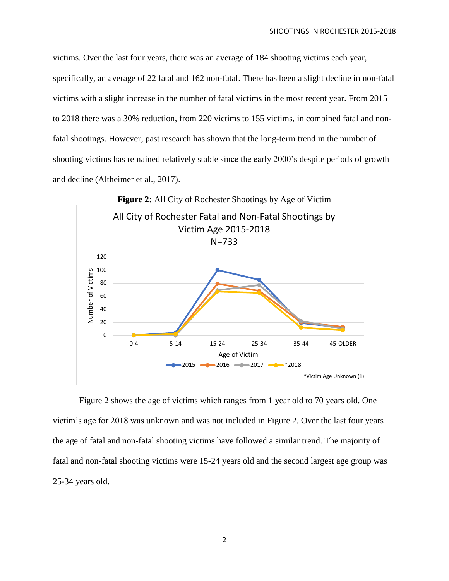victims. Over the last four years, there was an average of 184 shooting victims each year, specifically, an average of 22 fatal and 162 non-fatal. There has been a slight decline in non-fatal victims with a slight increase in the number of fatal victims in the most recent year. From 2015 to 2018 there was a 30% reduction, from 220 victims to 155 victims, in combined fatal and nonfatal shootings. However, past research has shown that the long-term trend in the number of shooting victims has remained relatively stable since the early 2000's despite periods of growth and decline (Altheimer et al., 2017).



Figure 2 shows the age of victims which ranges from 1 year old to 70 years old. One victim's age for 2018 was unknown and was not included in Figure 2. Over the last four years the age of fatal and non-fatal shooting victims have followed a similar trend. The majority of fatal and non-fatal shooting victims were 15-24 years old and the second largest age group was 25-34 years old.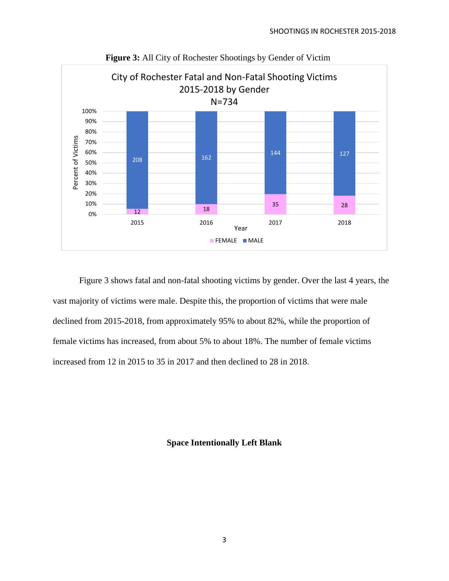

**Figure 3:** All City of Rochester Shootings by Gender of Victim

Figure 3 shows fatal and non-fatal shooting victims by gender. Over the last 4 years, the vast majority of victims were male. Despite this, the proportion of victims that were male declined from 2015-2018, from approximately 95% to about 82%, while the proportion of female victims has increased, from about 5% to about 18%. The number of female victims increased from 12 in 2015 to 35 in 2017 and then declined to 28 in 2018.

**Space Intentionally Left Blank**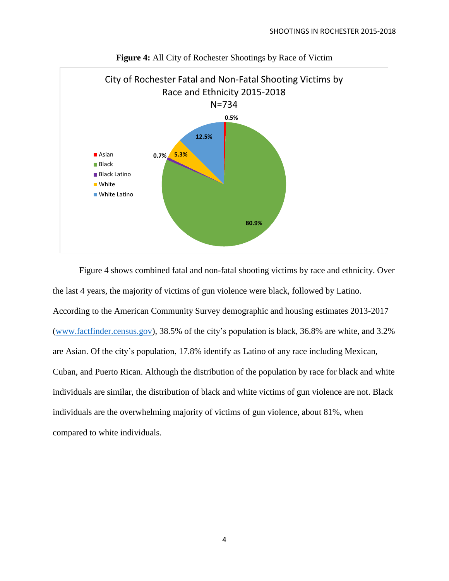



Figure 4 shows combined fatal and non-fatal shooting victims by race and ethnicity. Over the last 4 years, the majority of victims of gun violence were black, followed by Latino. According to the American Community Survey demographic and housing estimates 2013-2017 [\(www.factfinder.census.gov\)](http://www.factfinder.census.gov/), 38.5% of the city's population is black, 36.8% are white, and 3.2% are Asian. Of the city's population, 17.8% identify as Latino of any race including Mexican, Cuban, and Puerto Rican. Although the distribution of the population by race for black and white individuals are similar, the distribution of black and white victims of gun violence are not. Black individuals are the overwhelming majority of victims of gun violence, about 81%, when compared to white individuals.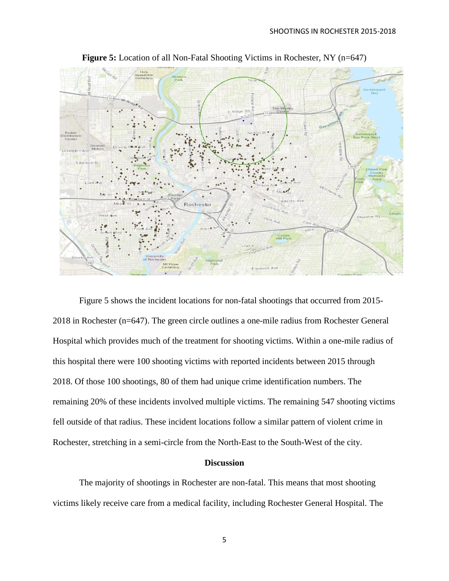

**Figure 5:** Location of all Non-Fatal Shooting Victims in Rochester, NY (n=647)

Figure 5 shows the incident locations for non-fatal shootings that occurred from 2015- 2018 in Rochester (n=647). The green circle outlines a one-mile radius from Rochester General Hospital which provides much of the treatment for shooting victims. Within a one-mile radius of this hospital there were 100 shooting victims with reported incidents between 2015 through 2018. Of those 100 shootings, 80 of them had unique crime identification numbers. The remaining 20% of these incidents involved multiple victims. The remaining 547 shooting victims fell outside of that radius. These incident locations follow a similar pattern of violent crime in Rochester, stretching in a semi-circle from the North-East to the South-West of the city.

#### **Discussion**

The majority of shootings in Rochester are non-fatal. This means that most shooting victims likely receive care from a medical facility, including Rochester General Hospital. The

5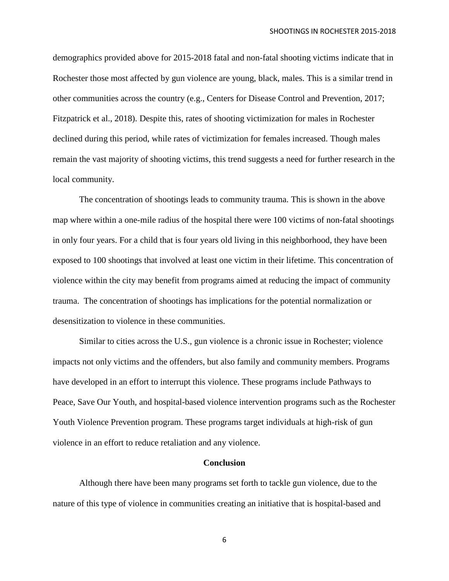demographics provided above for 2015-2018 fatal and non-fatal shooting victims indicate that in Rochester those most affected by gun violence are young, black, males. This is a similar trend in other communities across the country (e.g., Centers for Disease Control and Prevention, 2017; Fitzpatrick et al., 2018). Despite this, rates of shooting victimization for males in Rochester declined during this period, while rates of victimization for females increased. Though males remain the vast majority of shooting victims, this trend suggests a need for further research in the local community.

The concentration of shootings leads to community trauma. This is shown in the above map where within a one-mile radius of the hospital there were 100 victims of non-fatal shootings in only four years. For a child that is four years old living in this neighborhood, they have been exposed to 100 shootings that involved at least one victim in their lifetime. This concentration of violence within the city may benefit from programs aimed at reducing the impact of community trauma. The concentration of shootings has implications for the potential normalization or desensitization to violence in these communities.

Similar to cities across the U.S., gun violence is a chronic issue in Rochester; violence impacts not only victims and the offenders, but also family and community members. Programs have developed in an effort to interrupt this violence. These programs include Pathways to Peace, Save Our Youth, and hospital-based violence intervention programs such as the Rochester Youth Violence Prevention program. These programs target individuals at high-risk of gun violence in an effort to reduce retaliation and any violence.

#### **Conclusion**

Although there have been many programs set forth to tackle gun violence, due to the nature of this type of violence in communities creating an initiative that is hospital-based and

6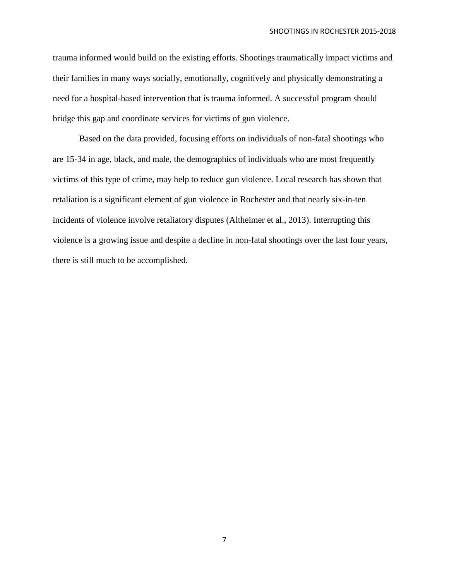trauma informed would build on the existing efforts. Shootings traumatically impact victims and their families in many ways socially, emotionally, cognitively and physically demonstrating a need for a hospital-based intervention that is trauma informed. A successful program should bridge this gap and coordinate services for victims of gun violence.

Based on the data provided, focusing efforts on individuals of non-fatal shootings who are 15-34 in age, black, and male, the demographics of individuals who are most frequently victims of this type of crime, may help to reduce gun violence. Local research has shown that retaliation is a significant element of gun violence in Rochester and that nearly six-in-ten incidents of violence involve retaliatory disputes (Altheimer et al., 2013). Interrupting this violence is a growing issue and despite a decline in non-fatal shootings over the last four years, there is still much to be accomplished.